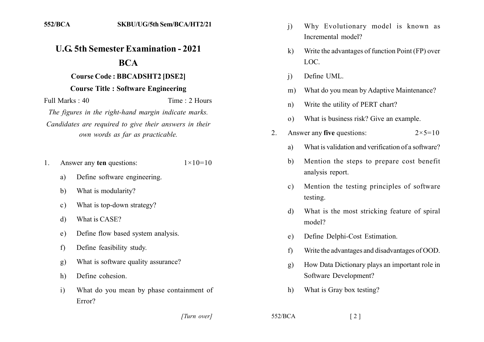## **U.G. 5th Semester Examination - 2021**

## **BCA**

## **Course Code: BBCADSHT2 [DSE2]**

## **Course Title: Software Engineering**

Full Marks  $\cdot$  40 Time: 2 Hours The figures in the right-hand margin indicate marks.

Candidates are required to give their answers in their own words as far as practicable.

- Answer any ten questions:  $1 \times 10 = 10$  $1_{-}$ 
	- Define software engineering. a)
	- $b)$ What is modularity?
	- What is top-down strategy?  $c)$
	- What is CASE? d)
	- Define flow based system analysis.  $e)$
	- Define feasibility study.  $f$
	- What is software quality assurance?  $g)$
	- Define cohesion. h)
	- $\mathbf{i}$ What do you mean by phase containment of Error?
- Why Evolutionary model is known as  $\overline{1}$ Incremental model?
- Write the advantages of function Point (FP) over  $\bf k$ LOC.
- Define UML.  $\overline{1}$
- What do you mean by Adaptive Maintenance?  $m)$
- Write the utility of PERT chart?  $n)$
- What is business risk? Give an example.  $\Omega$
- Answer any five questions:  $2^{\circ}$  $2 \times 5 = 10$ 
	- What is validation and verification of a software? a)
	- Mention the steps to prepare cost benefit b) analysis report.
	- Mention the testing principles of software  $\mathbf{c}$ ) testing.
	- What is the most stricking feature of spiral  $\mathbf{d}$ model?
	- Define Delphi-Cost Estimation.  $e)$
	- Write the advantages and disadvantages of OOD.  $f$
	- How Data Dictionary plays an important role in  $\mathbf{g}$ ) Software Development?
	- What is Gray box testing?  $h)$

[Turn over]

 $552/BCA$ 

 $\lceil 2 \rceil$